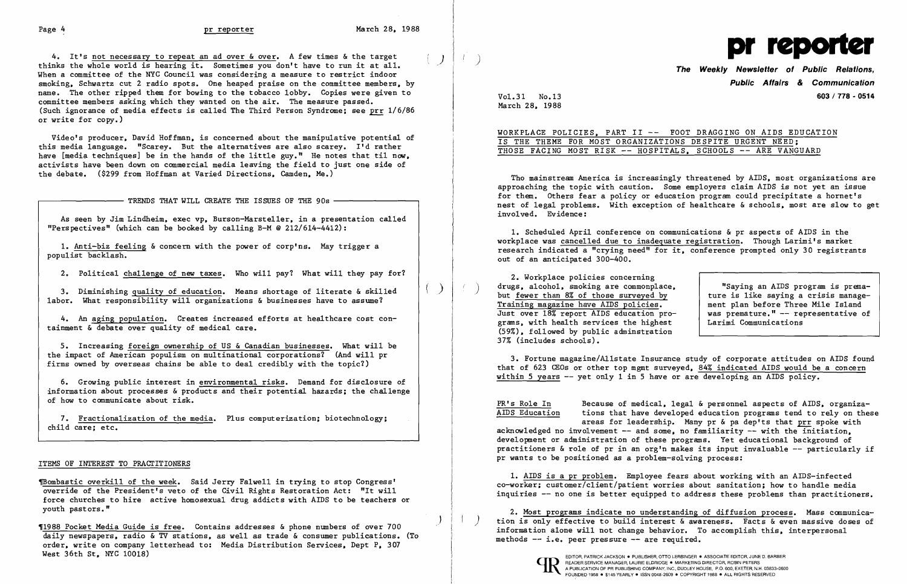$\mathcal{Y}$ 

 $\begin{array}{|l|l|}\n\hline\n\vdots \\
\hline\n\end{array}$ <br>
4. It's <u>not necessary to repeat an ad over & over</u>. A few times & the target<br>
The the vibele verid is begring it. Semetimes you don't have to run it at all 4. It's <u>not necessary to repeat an ad over 6 over</u>. A few times & the target thinks the whole world is hearing it. Sometimes you don't have to run it at all. **The Weekly Newsletter of Public Relations**, when a committee o smoking. Schwartz cut 2 radio spots. One heaped praise on the committee members. by name. The other ripped them for bowing to the tobacco lobby. Copies were given to committee members asking which they wanted on the air. The measure passed. (Such ignorance of media effects is called The Third Person Syndrome; see prr 1/6/86 or write for copy.)

1. Anti-biz feeling & concern with the power of corp'ns. May trigger a populist backlash.

2. Political challenge of new taxes. Who will pay? What will they pay for?

3. Diminishing quality of education. Means shortage of literate & skilled labor. What responsibility will organizations & businesses have to assume?

Video's producer. David Hoffman. is concerned about the manipulative potential of this media language. "Scarey. But the alternatives are also scarey. I'd rather have [media techniques] be in the hands of the little guy." He notes that til now, activists have been down on commercial media leaving the field to just one side of the debate. (\$299 from Hoffman at Varied Directions. Camden. Me.)

 $-$  TRENDS THAT WILL CREATE THE ISSUES OF THE 90s  $-$ 

~ombastic overkill of the week. Said Jerry Falwell in trying to stop Congress' override of the President's veto of the Civil Rights Restoration Act: "It will force churches to hire active homosexual drug addicts with AIDS to be teachers or youth pastors."

West 36th St, NYC 10018)

As seen by Jim Lindheim. exec vp. Burson-Marsteller. in a presentation called "Perspectives" (which can be booked by calling B-M @ 212/614-4412):

WORKPLACE POLICIES, PART II -- FOOT DRAGGING ON AIDS EDUCATION IS THE THEME FOR MOST ORGANIZATIONS DESPITE URGENT NEED; THOSE FACING MOST RISK -- HOSPITALS. SCHOOLS -- ARE VANGUARD

4. An aging population. Creates increased efforts at healthcare cost containment & debate over quality of medical care.

5. Increasing foreign ownership of US & Canadian businesses. What will be the impact of American populism on multinational corporations? (And will pr firms owned by overseas chains be able to deal credibly with the topic?)

3. Fortune magazine/Allstate Insurance study of corporate attitudes on AIDS found that of 623 CEOs or other top mgmt surveyed. 84% indicated AIDS would be a concern within 5 years -- yet only 1 in 5 have or are developing an AIDS policy.

6. Growing public interest in environmental risks. Demand for disclosure of information about processes & products and their potential hazards; the challenge of how to communicate about risk.

7. Fractionalization of the media. Plus computerization; biotechnology; child care; etc.

## ITEMS OF INTEREST TO PRACTITIONERS

Vol. 31 No.13 March 28. 1988

# **Public Affairs & Communication 603/778 . 0514**

Tho mainstream America is increasingly threatened by AIDS. most organizations are approaching the topic with caution. Some employers claim AIDS is not yet an issue for them. Others fear a policy or education program could precipitate a hornet's nest of legal problems. With exception of healthcare & schools. most are slow to get involved. Evidence:

1. Scheduled April conference on communications & pr aspects of AIDS in the workplace was cancelled due to inadequate registration. Though Larimi's market research indicated a "crying need" for it. conference prompted only 30 registrants out of an anticipated 300-400.

2. Workplace policies concerning drugs, alcohol, smoking are commonplace,<br>but fewer than 8% of those surveyed by Training magazine have AIDS policies. Just over 18% report AIDS education programs. with health services the highest (59%). followed by public adminstration 37% (includes schools).

"Saying an AIDS program is premature is like saying a crisis management plan before Three Mile Island was premature." -- representative of Larimi Communications

PR's Role In

Because of medical. legal & personnel aspects of AIDS. organiza-

AIDS Education tions that have developed education programs tend to rely on these areas for leadership. Many pr & pa dep'ts that prr spoke with acknowledged no involvement  $--$  and some, no familiarity  $--$  with the initiation. development or administration of these programs. Yet educational background of practitioners  $\&$  role of pr in an org'n makes its input invaluable  $-$ - particularly if pr wants to be positioned as a problem-solving process:

1. AIDS is a pr problem. Employee fears about working with an AIDS-infected co-worker; customer/client/patient worries about sanitation; how to handle media inquiries -- no one is better equipped to address these problems than practitioners.

2. Most programs indicate no understanding of diffusion process. Mass communica-1988 Pocket Media Guide is free. Contains addresses & phone numbers of over 700<br>daily newspapers, radio & TV stations, as well as trade & consumer publications. (To<br>order, write on company letterhead to: Media Distribution

**CID** READER SERVICE MANAGER, LAURIE ELDRIDGE . MARKETING DIRECTOR, ROBIN PETERS